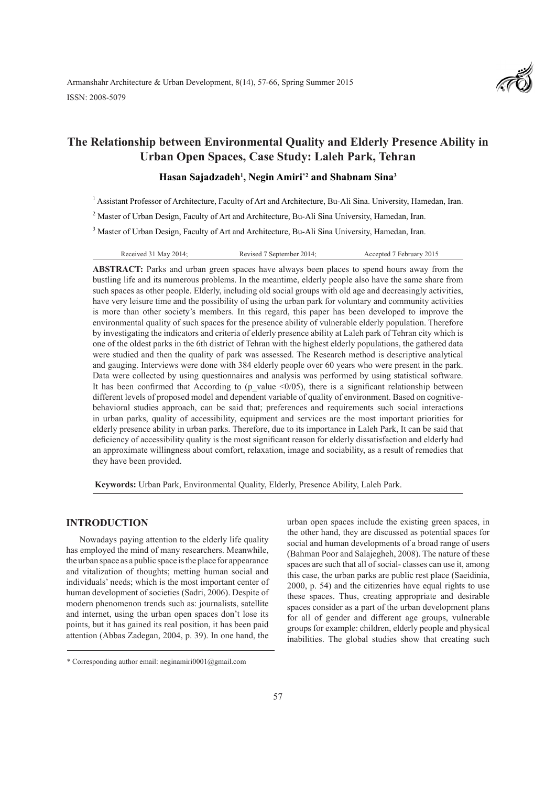

# **The Relationship between Environmental Quality and Elderly Presence Ability in Urban Open Spaces, Case Study: Laleh Park, Tehran**

# **Hasan Sajadzadeh1 , Negin Amiri\*2 and Shabnam Sina3**

<sup>1</sup> Assistant Professor of Architecture, Faculty of Art and Architecture, Bu-Ali Sina. University, Hamedan, Iran.

<sup>2</sup> Master of Urban Design, Faculty of Art and Architecture, Bu-Ali Sina University, Hamedan, Iran.

<sup>3</sup> Master of Urban Design, Faculty of Art and Architecture, Bu-Ali Sina University, Hamedan, Iran.

|  | Received 31 May 2014: | Revised 7 September 2014; | Accepted 7 February 2015 |
|--|-----------------------|---------------------------|--------------------------|
|--|-----------------------|---------------------------|--------------------------|

**ABSTRACT:** Parks and urban green spaces have always been places to spend hours away from the bustling life and its numerous problems. In the meantime, elderly people also have the same share from such spaces as other people. Elderly, including old social groups with old age and decreasingly activities, have very leisure time and the possibility of using the urban park for voluntary and community activities is more than other society's members. In this regard, this paper has been developed to improve the environmental quality of such spaces for the presence ability of vulnerable elderly population. Therefore by investigating the indicators and criteria of elderly presence ability at Laleh park of Tehran city which is one of the oldest parks in the 6th district of Tehran with the highest elderly populations, the gathered data were studied and then the quality of park was assessed. The Research method is descriptive analytical and gauging. Interviews were done with 384 elderly people over 60 years who were present in the park. Data were collected by using questionnaires and analysis was performed by using statistical software. It has been confirmed that According to (p\_value  $\leq 0/05$ ), there is a significant relationship between different levels of proposed model and dependent variable of quality of environment. Based on cognitivebehavioral studies approach, can be said that; preferences and requirements such social interactions in urban parks, quality of accessibility, equipment and services are the most important priorities for elderly presence ability in urban parks. Therefore, due to its importance in Laleh Park, It can be said that deficiency of accessibility quality is the most significant reason for elderly dissatisfaction and elderly had an approximate willingness about comfort, relaxation, image and sociability, as a result of remedies that they have been provided.

 **Keywords:** Urban Park, Environmental Quality, Elderly, Presence Ability, Laleh Park.

# **INTRODUCTION**

Nowadays paying attention to the elderly life quality has employed the mind of many researchers. Meanwhile, the urban space as a public space is the place for appearance and vitalization of thoughts; metting human social and individuals' needs; which is the most important center of human development of societies (Sadri, 2006). Despite of modern phenomenon trends such as: journalists, satellite and internet, using the urban open spaces don't lose its points, but it has gained its real position, it has been paid attention (Abbas Zadegan, 2004, p. 39). In one hand, the urban open spaces include the existing green spaces, in the other hand, they are discussed as potential spaces for social and human developments of a broad range of users (Bahman Poor and Salajegheh, 2008). The nature of these spaces are such that all of social- classes can use it, among this case, the urban parks are public rest place (Saeidinia, 2000, p. 54) and the citizenries have equal rights to use these spaces. Thus, creating appropriate and desirable spaces consider as a part of the urban development plans for all of gender and different age groups, vulnerable groups for example: children, elderly people and physical inabilities. The global studies show that creating such

<sup>\*</sup> Corresponding author email: neginamiri0001@gmail.com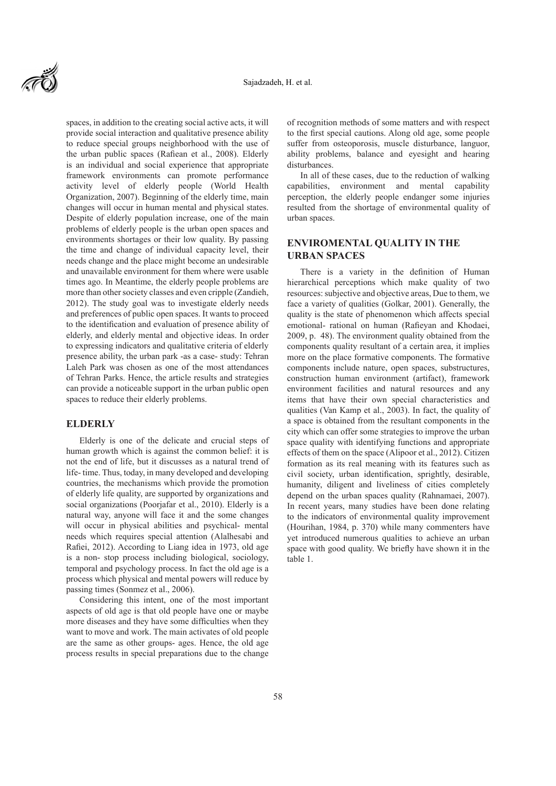

spaces, in addition to the creating social active acts, it will provide social interaction and qualitative presence ability to reduce special groups neighborhood with the use of the urban public spaces (Rafiean et al., 2008). Elderly is an individual and social experience that appropriate framework environments can promote performance activity level of elderly people (World Health Organization, 2007). Beginning of the elderly time, main changes will occur in human mental and physical states. Despite of elderly population increase, one of the main problems of elderly people is the urban open spaces and environments shortages or their low quality. By passing the time and change of individual capacity level, their needs change and the place might become an undesirable and unavailable environment for them where were usable times ago. In Meantime, the elderly people problems are more than other society classes and even cripple (Zandieh, 2012). The study goal was to investigate elderly needs and preferences of public open spaces. It wants to proceed to the identification and evaluation of presence ability of elderly, and elderly mental and objective ideas. In order to expressing indicators and qualitative criteria of elderly presence ability, the urban park -as a case- study: Tehran Laleh Park was chosen as one of the most attendances of Tehran Parks. Hence, the article results and strategies can provide a noticeable support in the urban public open spaces to reduce their elderly problems.

### **ELDERLY**

Elderly is one of the delicate and crucial steps of human growth which is against the common belief: it is not the end of life, but it discusses as a natural trend of life- time. Thus, today, in many developed and developing countries, the mechanisms which provide the promotion of elderly life quality, are supported by organizations and social organizations (Poorjafar et al., 2010). Elderly is a natural way, anyone will face it and the some changes will occur in physical abilities and psychical- mental needs which requires special attention (Alalhesabi and Rafiei, 2012). According to Liang idea in 1973, old age is a non- stop process including biological, sociology, temporal and psychology process. In fact the old age is a process which physical and mental powers will reduce by passing times (Sonmez et al., 2006).

Considering this intent, one of the most important aspects of old age is that old people have one or maybe more diseases and they have some difficulties when they want to move and work. The main activates of old people are the same as other groups- ages. Hence, the old age process results in special preparations due to the change of recognition methods of some matters and with respect to the first special cautions. Along old age, some people suffer from osteoporosis, muscle disturbance, languor, ability problems, balance and eyesight and hearing disturbances.

In all of these cases, due to the reduction of walking capabilities, environment and mental capability perception, the elderly people endanger some injuries resulted from the shortage of environmental quality of urban spaces.

# **ENVIROMENTAL QUALITY IN THE URBAN SPACES**

There is a variety in the definition of Human hierarchical perceptions which make quality of two resources: subjective and objective areas, Due to them, we face a variety of qualities (Golkar, 2001). Generally, the quality is the state of phenomenon which affects special emotional- rational on human (Rafieyan and Khodaei, 2009, p. 48). The environment quality obtained from the components quality resultant of a certain area, it implies more on the place formative components. The formative components include nature, open spaces, substructures, construction human environment (artifact), framework environment facilities and natural resources and any items that have their own special characteristics and qualities (Van Kamp et al., 2003). In fact, the quality of a space is obtained from the resultant components in the city which can offer some strategies to improve the urban space quality with identifying functions and appropriate effects of them on the space (Alipoor et al., 2012). Citizen formation as its real meaning with its features such as civil society, urban identification, sprightly, desirable, humanity, diligent and liveliness of cities completely depend on the urban spaces quality (Rahnamaei, 2007). In recent years, many studies have been done relating to the indicators of environmental quality improvement (Hourihan, 1984, p. 370) while many commenters have yet introduced numerous qualities to achieve an urban space with good quality. We briefly have shown it in the table 1.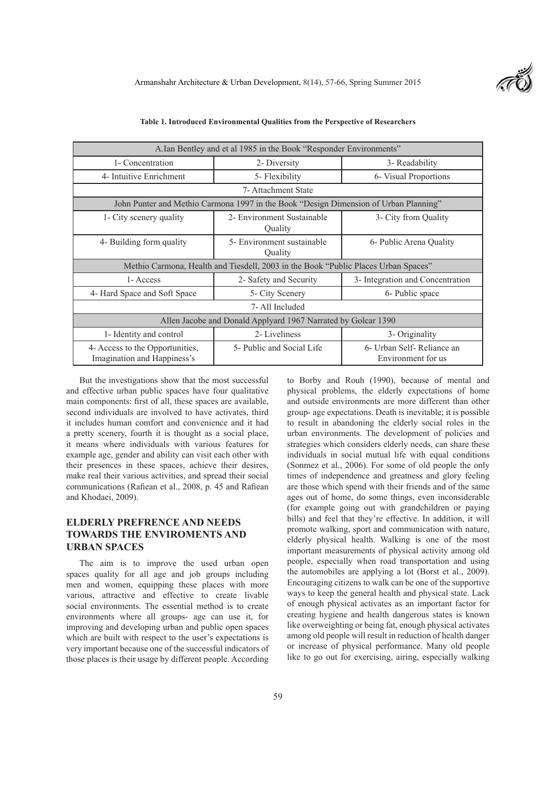| A.Ian Bentley and et al 1985 in the Book "Responder Environments"                        |                                       |                                                   |  |  |  |
|------------------------------------------------------------------------------------------|---------------------------------------|---------------------------------------------------|--|--|--|
| 1- Concentration                                                                         | 2- Diversity                          | 3- Readability                                    |  |  |  |
| 4- Intuitive Enrichment                                                                  | 5- Flexibility                        | 6- Visual Proportions                             |  |  |  |
| 7- Attachment State                                                                      |                                       |                                                   |  |  |  |
| John Punter and Methio Carmona 1997 in the Book "Design Dimension of Urban Planning"     |                                       |                                                   |  |  |  |
| 2- Environment Sustainable<br>3- City from Quality<br>1- City scenery quality<br>Quality |                                       |                                                   |  |  |  |
| 4- Building form quality                                                                 | 5- Environment sustainable<br>Quality | 6- Public Arena Quality                           |  |  |  |
| Methio Carmona, Health and Tiesdell, 2003 in the Book "Public Places Urban Spaces"       |                                       |                                                   |  |  |  |
| 1- Access                                                                                | 2- Safety and Security                | 3- Integration and Concentration                  |  |  |  |
| 4- Hard Space and Soft Space                                                             | 5- City Scenery                       | 6- Public space                                   |  |  |  |
| 7- All Included                                                                          |                                       |                                                   |  |  |  |
| Allen Jacobe and Donald Applyard 1967 Narrated by Golcar 1390                            |                                       |                                                   |  |  |  |
| 1- Identity and control                                                                  | 2- Liveliness                         | 3- Originality                                    |  |  |  |
| 4- Access to the Opportunities,<br>Imagination and Happiness's                           | 5- Public and Social Life             | 6- Urban Self- Reliance an<br>Environment for us. |  |  |  |

| Table 1. Introduced Environmental Qualities from the Perspective of Researchers |  |  |  |
|---------------------------------------------------------------------------------|--|--|--|
|---------------------------------------------------------------------------------|--|--|--|

But the investigations show that the most successful and effective urban public spaces have four qualitative main components: first of all, these spaces are available, second individuals are involved to have activates, third it includes human comfort and convenience and it had a pretty scenery, fourth it is thought as a social place, it means where individuals with various features for example age, gender and ability can visit each other with their presences in these spaces, achieve their desires, make real their various activities, and spread their social communications (Rafiean et al., 2008, p. 45 and Rafiean and Khodaei, 2009).

# **ELDERLY PREFRENCE AND NEEDS TOWARDS THE ENVIROMENTS AND URBAN SPACES**

The aim is to improve the used urban open spaces quality for all age and job groups including men and women, equipping these places with more various, attractive and effective to create livable social environments. The essential method is to create environments where all groups- age can use it, for improving and developing urban and public open spaces which are built with respect to the user's expectations is very important because one of the successful indicators of those places is their usage by different people. According

to Borby and Rouh (1990), because of mental and physical problems, the elderly expectations of home and outside environments are more different than other group- age expectations. Death is inevitable; it is possible to result in abandoning the elderly social roles in the urban environments. The development of policies and strategies which considers elderly needs, can share these individuals in social mutual life with equal conditions (Sonmez et al., 2006). For some of old people the only times of independence and greatness and glory feeling are those which spend with their friends and of the same ages out of home, do some things, even inconsiderable (for example going out with grandchildren or paying bills) and feel that they're effective. In addition, it will promote walking, sport and communication with nature, elderly physical health. Walking is one of the most important measurements of physical activity among old people, especially when road transportation and using the automobiles are applying a lot (Borst et al., 2009). Encouraging citizens to walk can be one of the supportive ways to keep the general health and physical state. Lack of enough physical activates as an important factor for creating hygiene and health dangerous states is known like overweighting or being fat, enough physical activates among old people will result in reduction of health danger or increase of physical performance. Many old people like to go out for exercising, airing, especially walking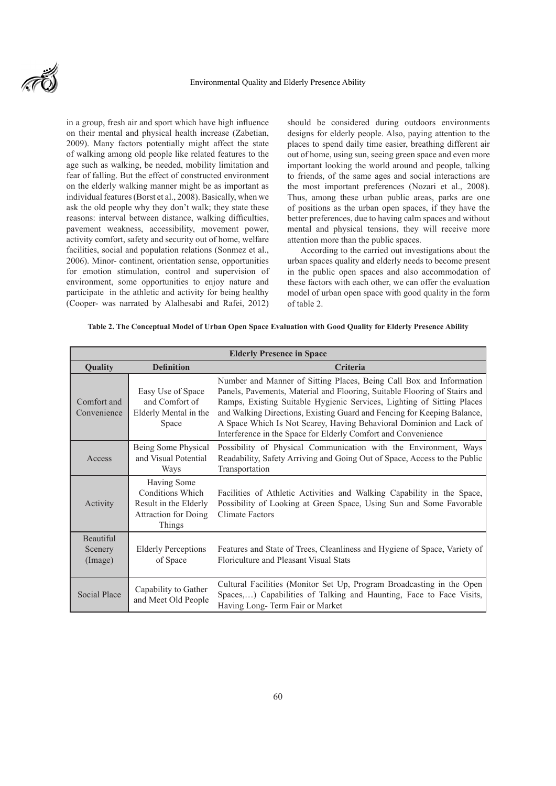

in a group, fresh air and sport which have high influence on their mental and physical health increase (Zabetian, 2009). Many factors potentially might affect the state of walking among old people like related features to the age such as walking, be needed, mobility limitation and fear of falling. But the effect of constructed environment on the elderly walking manner might be as important as individual features (Borst et al., 2008). Basically, when we ask the old people why they don't walk; they state these reasons: interval between distance, walking difficulties, pavement weakness, accessibility, movement power, activity comfort, safety and security out of home, welfare facilities, social and population relations (Sonmez et al., 2006). Minor- continent, orientation sense, opportunities for emotion stimulation, control and supervision of environment, some opportunities to enjoy nature and participate in the athletic and activity for being healthy (Cooper- was narrated by Alalhesabi and Rafei, 2012) should be considered during outdoors environments designs for elderly people. Also, paying attention to the places to spend daily time easier, breathing different air out of home, using sun, seeing green space and even more important looking the world around and people, talking to friends, of the same ages and social interactions are the most important preferences (Nozari et al., 2008). Thus, among these urban public areas, parks are one of positions as the urban open spaces, if they have the better preferences, due to having calm spaces and without mental and physical tensions, they will receive more attention more than the public spaces.

According to the carried out investigations about the urban spaces quality and elderly needs to become present in the public open spaces and also accommodation of these factors with each other, we can offer the evaluation model of urban open space with good quality in the form of table 2.

#### **Table 2. The Conceptual Model of Urban Open Space Evaluation with Good Quality for Elderly Presence Ability**

| <b>Elderly Presence in Space</b> |                                                                                                   |                                                                                                                                                                                                                                                                                                                                                                                                                                               |  |
|----------------------------------|---------------------------------------------------------------------------------------------------|-----------------------------------------------------------------------------------------------------------------------------------------------------------------------------------------------------------------------------------------------------------------------------------------------------------------------------------------------------------------------------------------------------------------------------------------------|--|
| Quality                          | <b>Definition</b>                                                                                 | <b>Criteria</b>                                                                                                                                                                                                                                                                                                                                                                                                                               |  |
| Comfort and<br>Convenience       | Easy Use of Space<br>and Comfort of<br>Elderly Mental in the<br>Space                             | Number and Manner of Sitting Places, Being Call Box and Information<br>Panels, Pavements, Material and Flooring, Suitable Flooring of Stairs and<br>Ramps, Existing Suitable Hygienic Services, Lighting of Sitting Places<br>and Walking Directions, Existing Guard and Fencing for Keeping Balance,<br>A Space Which Is Not Scarey, Having Behavioral Dominion and Lack of<br>Interference in the Space for Elderly Comfort and Convenience |  |
| Access                           | Being Some Physical<br>and Visual Potential<br>Ways                                               | Possibility of Physical Communication with the Environment, Ways<br>Readability, Safety Arriving and Going Out of Space, Access to the Public<br>Transportation                                                                                                                                                                                                                                                                               |  |
| Activity                         | Having Some<br>Conditions Which<br>Result in the Elderly<br><b>Attraction for Doing</b><br>Things | Facilities of Athletic Activities and Walking Capability in the Space,<br>Possibility of Looking at Green Space, Using Sun and Some Favorable<br>Climate Factors                                                                                                                                                                                                                                                                              |  |
| Beautiful<br>Scenery<br>(Image)  | <b>Elderly Perceptions</b><br>of Space                                                            | Features and State of Trees, Cleanliness and Hygiene of Space, Variety of<br>Floriculture and Pleasant Visual Stats                                                                                                                                                                                                                                                                                                                           |  |
| Social Place                     | Capability to Gather<br>and Meet Old People                                                       | Cultural Facilities (Monitor Set Up, Program Broadcasting in the Open<br>Spaces,) Capabilities of Talking and Haunting, Face to Face Visits,<br>Having Long-Term Fair or Market                                                                                                                                                                                                                                                               |  |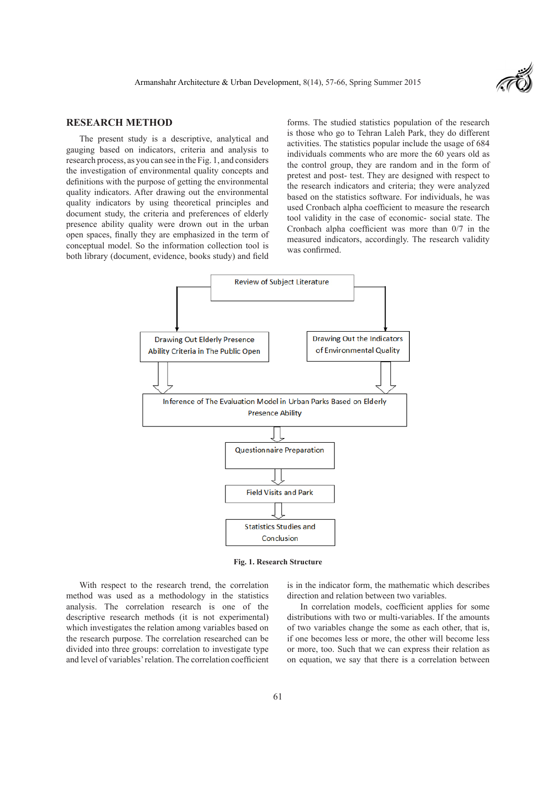

### **RESEARCH METHOD**

The present study is a descriptive, analytical and gauging based on indicators, criteria and analysis to research process, as you can see in the Fig. 1, and considers the investigation of environmental quality concepts and definitions with the purpose of getting the environmental quality indicators. After drawing out the environmental quality indicators by using theoretical principles and document study, the criteria and preferences of elderly presence ability quality were drown out in the urban open spaces, finally they are emphasized in the term of conceptual model. So the information collection tool is both library (document, evidence, books study) and field

forms. The studied statistics population of the research is those who go to Tehran Laleh Park, they do different activities. The statistics popular include the usage of 684 individuals comments who are more the 60 years old as the control group, they are random and in the form of pretest and post- test. They are designed with respect to the research indicators and criteria; they were analyzed based on the statistics software. For individuals, he was used Cronbach alpha coefficient to measure the research tool validity in the case of economic- social state. The Cronbach alpha coefficient was more than 0/7 in the measured indicators, accordingly. The research validity was confirmed.



**Fig. 1. Research Structure**

With respect to the research trend, the correlation method was used as a methodology in the statistics analysis. The correlation research is one of the descriptive research methods (it is not experimental) which investigates the relation among variables based on the research purpose. The correlation researched can be divided into three groups: correlation to investigate type and level of variables' relation. The correlation coefficient

is in the indicator form, the mathematic which describes direction and relation between two variables.

In correlation models, coefficient applies for some distributions with two or multi-variables. If the amounts of two variables change the some as each other, that is, if one becomes less or more, the other will become less or more, too. Such that we can express their relation as on equation, we say that there is a correlation between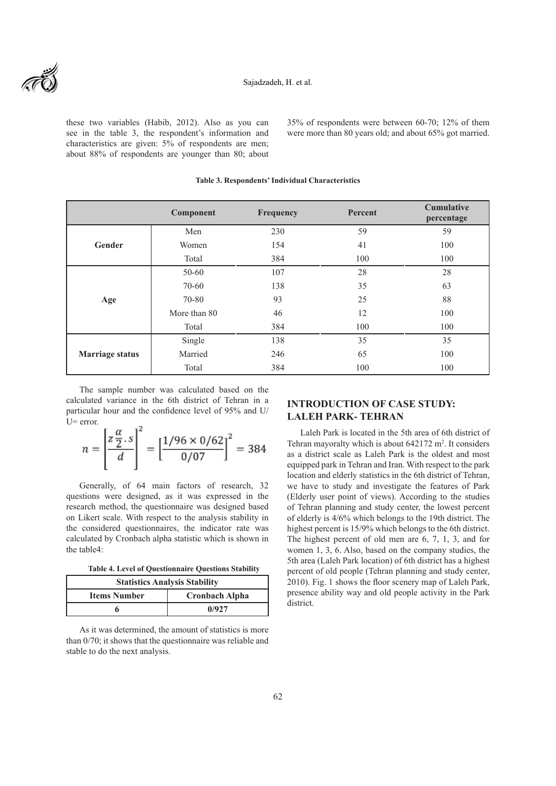these two variables (Habib, 2012). Also as you can see in the table 3, the respondent's information and characteristics are given: 5% of respondents are men; about 88% of respondents are younger than 80; about 35% of respondents were between 60-70; 12% of them were more than 80 years old; and about 65% got married.

|                        | Component    | Frequency | Percent | <b>Cumulative</b><br>percentage |
|------------------------|--------------|-----------|---------|---------------------------------|
| Gender                 | Men          | 230       | 59      | 59                              |
|                        | Women        | 154       | 41      | 100                             |
|                        | Total        | 384       | 100     | 100                             |
| Age                    | $50 - 60$    | 107       | 28      | 28                              |
|                        | $70 - 60$    | 138       | 35      | 63                              |
|                        | 70-80        | 93        | 25      | 88                              |
|                        | More than 80 | 46        | 12      | 100                             |
|                        | Total        | 384       | 100     | 100                             |
| <b>Marriage status</b> | Single       | 138       | 35      | 35                              |
|                        | Married      | 246       | 65      | 100                             |
|                        | Total        | 384       | 100     | 100                             |

The sample number was calculated based on the calculated variance in the 6th district of Tehran in a particular hour and the confidence level of 95% and U/ U= error.

$$
n = \left[\frac{z\frac{\alpha}{2} \cdot s}{d}\right]^2 = \left[\frac{1/96 \times 0/62}{0/07}\right]^2 = 384
$$

Generally, of 64 main factors of research, 32 questions were designed, as it was expressed in the research method, the questionnaire was designed based on Likert scale. With respect to the analysis stability in the considered questionnaires, the indicator rate was calculated by Cronbach alpha statistic which is shown in the table4:

**Table 4. Level of Questionnaire Questions Stability**

| <b>Statistics Analysis Stability</b> |                       |  |  |
|--------------------------------------|-----------------------|--|--|
| <b>Items Number</b>                  | <b>Cronbach Alpha</b> |  |  |
|                                      | 0/927                 |  |  |

As it was determined, the amount of statistics is more than 0/70; it shows that the questionnaire was reliable and stable to do the next analysis.

# **INTRODUCTION OF CASE STUDY: LALEH PARK- TEHRAN**

Laleh Park is located in the 5th area of 6th district of Tehran mayoralty which is about  $642172 \text{ m}^2$ . It considers as a district scale as Laleh Park is the oldest and most equipped park in Tehran and Iran. With respect to the park location and elderly statistics in the 6th district of Tehran, we have to study and investigate the features of Park (Elderly user point of views). According to the studies of Tehran planning and study center, the lowest percent of elderly is 4/6% which belongs to the 19th district. The highest percent is 15/9% which belongs to the 6th district. The highest percent of old men are 6, 7, 1, 3, and for women 1, 3, 6. Also, based on the company studies, the 5th area (Laleh Park location) of 6th district has a highest percent of old people (Tehran planning and study center, 2010). Fig. 1 shows the floor scenery map of Laleh Park, presence ability way and old people activity in the Park district.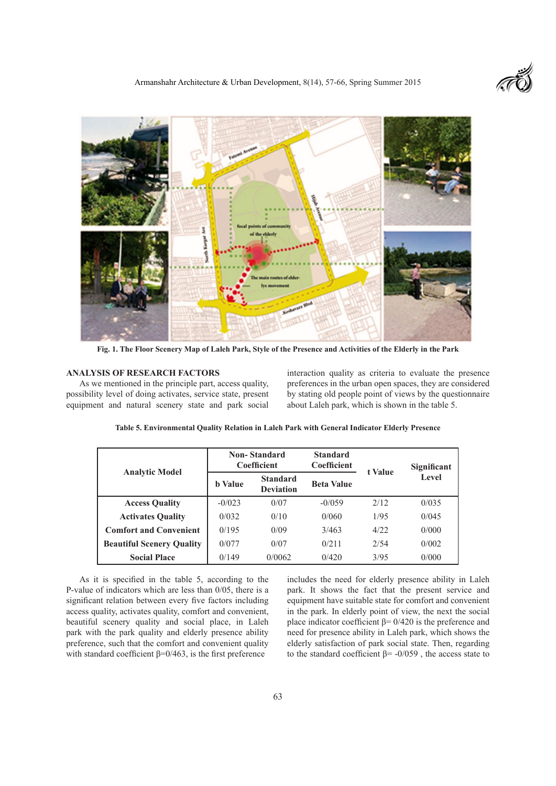

**Fig. 1. The Floor Scenery Map of Laleh Park, Style of the Presence and Activities of the Elderly in the Park**

## **ANALYSIS OF RESEARCH FACTORS**

As we mentioned in the principle part, access quality, possibility level of doing activates, service state, present equipment and natural scenery state and park social

interaction quality as criteria to evaluate the presence preferences in the urban open spaces, they are considered by stating old people point of views by the questionnaire about Laleh park, which is shown in the table 5.

|                                  | <b>Non-Standard</b><br><b>Coefficient</b> |                                     | <b>Standard</b><br><b>Coefficient</b> | t Value | Significant  |
|----------------------------------|-------------------------------------------|-------------------------------------|---------------------------------------|---------|--------------|
| <b>Analytic Model</b>            | <b>b</b> Value                            | <b>Standard</b><br><b>Deviation</b> | <b>Beta Value</b>                     |         | <b>Level</b> |
| <b>Access Quality</b>            | $-0/023$                                  | 0/07                                | $-0/0.59$                             | 2/12    | 0/035        |
| <b>Activates Quality</b>         | 0/032                                     | 0/10                                | 0/060                                 | 1/95    | 0/045        |
| <b>Comfort and Convenient</b>    | 0/195                                     | 0/09                                | 3/463                                 | 4/22    | 0/000        |
| <b>Beautiful Scenery Quality</b> | 0/077                                     | 0/07                                | 0/211                                 | 2/54    | 0/002        |
| <b>Social Place</b>              | 0/149                                     | 0/0062                              | 0/420                                 | 3/95    | 0/000        |

**Table 5. Environmental Quality Relation in Laleh Park with General Indicator Elderly Presence**

As it is specified in the table 5, according to the P-value of indicators which are less than 0/05, there is a significant relation between every five factors including access quality, activates quality, comfort and convenient, beautiful scenery quality and social place, in Laleh park with the park quality and elderly presence ability preference, such that the comfort and convenient quality with standard coefficient  $\beta = 0/463$ , is the first preference

includes the need for elderly presence ability in Laleh park. It shows the fact that the present service and equipment have suitable state for comfort and convenient in the park. In elderly point of view, the next the social place indicator coefficient  $β = 0/420$  is the preference and need for presence ability in Laleh park, which shows the elderly satisfaction of park social state. Then, regarding to the standard coefficient  $\beta$ = -0/059, the access state to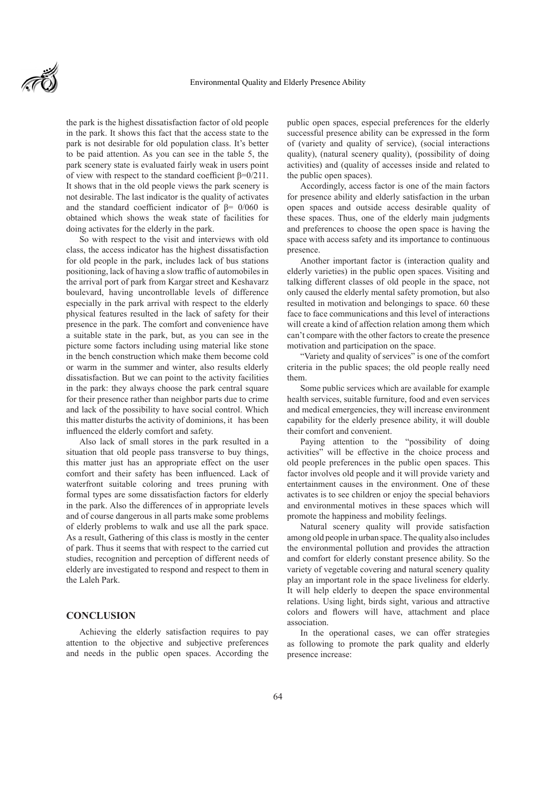the park is the highest dissatisfaction factor of old people in the park. It shows this fact that the access state to the park is not desirable for old population class. It's better to be paid attention. As you can see in the table 5, the park scenery state is evaluated fairly weak in users point of view with respect to the standard coefficient β=0/211. It shows that in the old people views the park scenery is not desirable. The last indicator is the quality of activates and the standard coefficient indicator of  $\beta$ = 0/060 is obtained which shows the weak state of facilities for doing activates for the elderly in the park.

So with respect to the visit and interviews with old class, the access indicator has the highest dissatisfaction for old people in the park, includes lack of bus stations positioning, lack of having a slow traffic of automobiles in the arrival port of park from Kargar street and Keshavarz boulevard, having uncontrollable levels of difference especially in the park arrival with respect to the elderly physical features resulted in the lack of safety for their presence in the park. The comfort and convenience have a suitable state in the park, but, as you can see in the picture some factors including using material like stone in the bench construction which make them become cold or warm in the summer and winter, also results elderly dissatisfaction. But we can point to the activity facilities in the park: they always choose the park central square for their presence rather than neighbor parts due to crime and lack of the possibility to have social control. Which this matter disturbs the activity of dominions, it has been influenced the elderly comfort and safety.

Also lack of small stores in the park resulted in a situation that old people pass transverse to buy things, this matter just has an appropriate effect on the user comfort and their safety has been influenced. Lack of waterfront suitable coloring and trees pruning with formal types are some dissatisfaction factors for elderly in the park. Also the differences of in appropriate levels and of course dangerous in all parts make some problems of elderly problems to walk and use all the park space. As a result, Gathering of this class is mostly in the center of park. Thus it seems that with respect to the carried cut studies, recognition and perception of different needs of elderly are investigated to respond and respect to them in the Laleh Park.

### **CONCLUSION**

Achieving the elderly satisfaction requires to pay attention to the objective and subjective preferences and needs in the public open spaces. According the

public open spaces, especial preferences for the elderly successful presence ability can be expressed in the form of (variety and quality of service), (social interactions quality), (natural scenery quality), (possibility of doing activities) and (quality of accesses inside and related to the public open spaces).

Accordingly, access factor is one of the main factors for presence ability and elderly satisfaction in the urban open spaces and outside access desirable quality of these spaces. Thus, one of the elderly main judgments and preferences to choose the open space is having the space with access safety and its importance to continuous presence.

Another important factor is (interaction quality and elderly varieties) in the public open spaces. Visiting and talking different classes of old people in the space, not only caused the elderly mental safety promotion, but also resulted in motivation and belongings to space. 60 these face to face communications and this level of interactions will create a kind of affection relation among them which can't compare with the other factors to create the presence motivation and participation on the space.

"Variety and quality of services" is one of the comfort criteria in the public spaces; the old people really need them.

Some public services which are available for example health services, suitable furniture, food and even services and medical emergencies, they will increase environment capability for the elderly presence ability, it will double their comfort and convenient.

Paying attention to the "possibility of doing activities" will be effective in the choice process and old people preferences in the public open spaces. This factor involves old people and it will provide variety and entertainment causes in the environment. One of these activates is to see children or enjoy the special behaviors and environmental motives in these spaces which will promote the happiness and mobility feelings.

Natural scenery quality will provide satisfaction among old people in urban space. The quality also includes the environmental pollution and provides the attraction and comfort for elderly constant presence ability. So the variety of vegetable covering and natural scenery quality play an important role in the space liveliness for elderly. It will help elderly to deepen the space environmental relations. Using light, birds sight, various and attractive colors and flowers will have, attachment and place association.

In the operational cases, we can offer strategies as following to promote the park quality and elderly presence increase: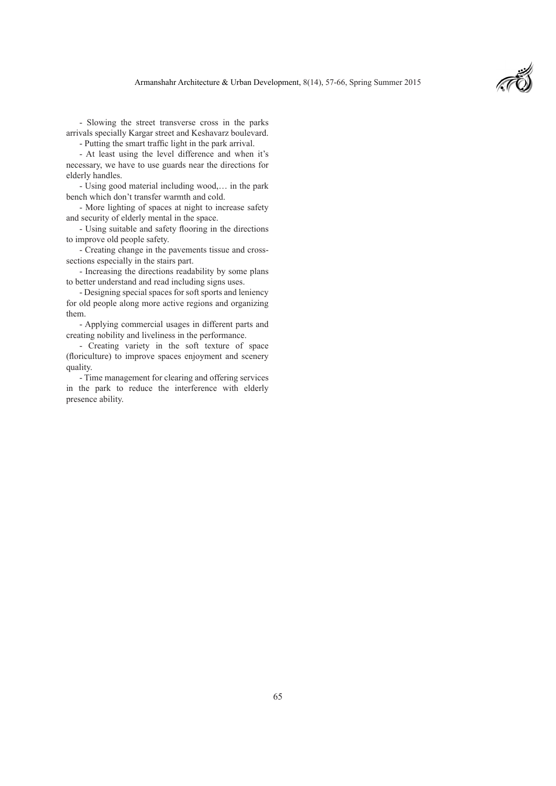- Slowing the street transverse cross in the parks arrivals specially Kargar street and Keshavarz boulevard.

- Putting the smart traffic light in the park arrival.

- At least using the level difference and when it's necessary, we have to use guards near the directions for elderly handles.

- Using good material including wood,… in the park bench which don't transfer warmth and cold.

- More lighting of spaces at night to increase safety and security of elderly mental in the space.

- Using suitable and safety flooring in the directions to improve old people safety.

- Creating change in the pavements tissue and crosssections especially in the stairs part.

- Increasing the directions readability by some plans to better understand and read including signs uses.

- Designing special spaces for soft sports and leniency for old people along more active regions and organizing them.

- Applying commercial usages in different parts and creating nobility and liveliness in the performance.

- Creating variety in the soft texture of space (floriculture) to improve spaces enjoyment and scenery quality.

- Time management for clearing and offering services in the park to reduce the interference with elderly presence ability.